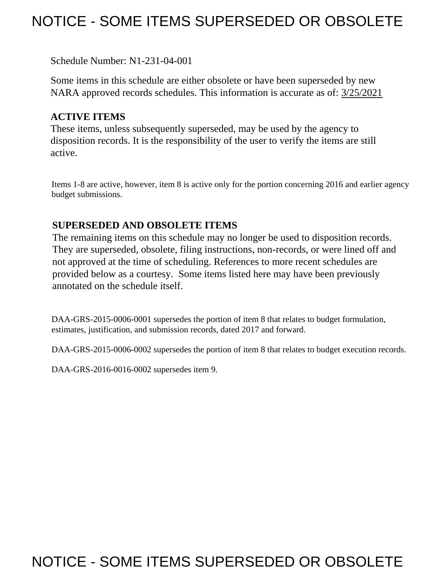# NOTICE - SOME ITEMS SUPERSEDED OR OBSOLETE

Schedule Number: N1-231-04-001

Some items in this schedule are either obsolete or have been superseded by new NARA approved records schedules. This information is accurate as of: 3/25/2021

# **ACTIVE ITEMS**

These items, unless subsequently superseded, may be used by the agency to disposition records. It is the responsibility of the user to verify the items are still active.

Items 1-8 are active, however, item 8 is active only for the portion concerning 2016 and earlier agency budget submissions.

## **SUPERSEDED AND OBSOLETE ITEMS**

 provided below as a courtesy. Some items listed here may have been previously The remaining items on this schedule may no longer be used to disposition records. They are superseded, obsolete, filing instructions, non-records, or were lined off and not approved at the time of scheduling. References to more recent schedules are annotated on the schedule itself.

 DAA-GRS-2015-0006-0001 supersedes the portion of item 8 that relates to budget formulation, estimates, justification, and submission records, dated 2017 and forward.

DAA-GRS-2015-0006-0002 supersedes the portion of item 8 that relates to budget execution records.

DAA-GRS-2016-0016-0002 supersedes item 9.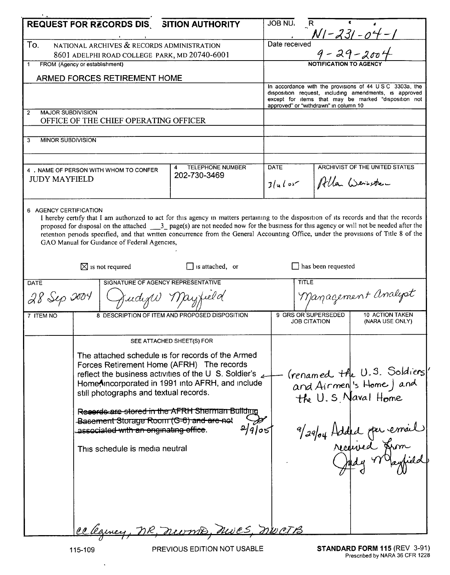|                                                                                                                                                                                                                                                                                                                                                                                                                                                                                                        |                                                                                                                             |                                                | JOB NU.                                                                                                          |                                            |                                                      |
|--------------------------------------------------------------------------------------------------------------------------------------------------------------------------------------------------------------------------------------------------------------------------------------------------------------------------------------------------------------------------------------------------------------------------------------------------------------------------------------------------------|-----------------------------------------------------------------------------------------------------------------------------|------------------------------------------------|------------------------------------------------------------------------------------------------------------------|--------------------------------------------|------------------------------------------------------|
|                                                                                                                                                                                                                                                                                                                                                                                                                                                                                                        | REQUEST FOR RECORDS DIS SITION AUTHORITY                                                                                    |                                                |                                                                                                                  | R                                          | $N1 - 231 - 04 - 1$                                  |
| To.                                                                                                                                                                                                                                                                                                                                                                                                                                                                                                    | NATIONAL ARCHIVES & RECORDS ADMINISTRATION                                                                                  |                                                | Date received                                                                                                    |                                            |                                                      |
| 8601 ADELPHI ROAD COLLEGE PARK, MD 20740-6001                                                                                                                                                                                                                                                                                                                                                                                                                                                          |                                                                                                                             |                                                |                                                                                                                  | $9 - 29 - 200$                             |                                                      |
| FROM (Agency or establishment)<br>1                                                                                                                                                                                                                                                                                                                                                                                                                                                                    |                                                                                                                             |                                                |                                                                                                                  |                                            |                                                      |
| ARMED FORCES RETIREMENT HOME                                                                                                                                                                                                                                                                                                                                                                                                                                                                           |                                                                                                                             |                                                |                                                                                                                  |                                            |                                                      |
|                                                                                                                                                                                                                                                                                                                                                                                                                                                                                                        |                                                                                                                             |                                                | In accordance with the provisions of 44 USC 3303a, the<br>disposition request, including amendments, is approved |                                            |                                                      |
|                                                                                                                                                                                                                                                                                                                                                                                                                                                                                                        |                                                                                                                             |                                                |                                                                                                                  | approved" or "withdrawn" in column 10      | except for items that may be marked "disposition not |
| <b>MAJOR SUBDIVISION</b><br>$\overline{2}$                                                                                                                                                                                                                                                                                                                                                                                                                                                             |                                                                                                                             |                                                |                                                                                                                  |                                            |                                                      |
| OFFICE OF THE CHIEF OPERATING OFFICER                                                                                                                                                                                                                                                                                                                                                                                                                                                                  |                                                                                                                             |                                                |                                                                                                                  |                                            |                                                      |
| 3                                                                                                                                                                                                                                                                                                                                                                                                                                                                                                      |                                                                                                                             |                                                |                                                                                                                  |                                            |                                                      |
| <b>MINOR SUBDIVISION</b>                                                                                                                                                                                                                                                                                                                                                                                                                                                                               |                                                                                                                             |                                                |                                                                                                                  |                                            |                                                      |
|                                                                                                                                                                                                                                                                                                                                                                                                                                                                                                        |                                                                                                                             |                                                |                                                                                                                  |                                            |                                                      |
| 4<br>4. NAME OF PERSON WITH WHOM TO CONFER<br><b>JUDY MAYFIELD</b>                                                                                                                                                                                                                                                                                                                                                                                                                                     |                                                                                                                             | <b>TELEPHONE NUMBER</b><br>202-730-3469        | <b>DATE</b>                                                                                                      |                                            | ARCHIVIST OF THE UNITED STATES                       |
|                                                                                                                                                                                                                                                                                                                                                                                                                                                                                                        |                                                                                                                             |                                                | $3/u \log$                                                                                                       |                                            | Alla Weisten                                         |
|                                                                                                                                                                                                                                                                                                                                                                                                                                                                                                        |                                                                                                                             |                                                |                                                                                                                  |                                            |                                                      |
| 6 AGENCY CERTIFICATION<br>I hereby certify that I am authorized to act for this agency in matters pertaining to the disposition of its records and that the records<br>proposed for disposal on the attached ___3_ page(s) are not needed now for the business for this agency or will not be needed after the<br>retention periods specified, and that written concurrence from the General Accounting Office, under the provisions of Title 8 of the<br>GAO Manual for Guidance of Federal Agencies, |                                                                                                                             |                                                |                                                                                                                  |                                            |                                                      |
|                                                                                                                                                                                                                                                                                                                                                                                                                                                                                                        | $\boxtimes$ is not required                                                                                                 | $\Box$ is attached, or                         |                                                                                                                  | $\Box$ has been requested                  |                                                      |
|                                                                                                                                                                                                                                                                                                                                                                                                                                                                                                        |                                                                                                                             |                                                |                                                                                                                  |                                            |                                                      |
| SIGNATURE OF AGENCY REPRESENTATIVE<br><b>DATE</b>                                                                                                                                                                                                                                                                                                                                                                                                                                                      |                                                                                                                             |                                                |                                                                                                                  | <b>TITLE</b>                               |                                                      |
| Judige Mayfield<br>28 Sep 2004                                                                                                                                                                                                                                                                                                                                                                                                                                                                         |                                                                                                                             |                                                |                                                                                                                  |                                            | Management Analyst                                   |
| 7 ITEM NO                                                                                                                                                                                                                                                                                                                                                                                                                                                                                              |                                                                                                                             | 8 DESCRIPTION OF ITEM AND PROPOSED DISPOSITION |                                                                                                                  | 9 GRS OR SUPERSEDED<br><b>JOB CITATION</b> | 10 ACTION TAKEN<br>(NARA USE ONLY)                   |
|                                                                                                                                                                                                                                                                                                                                                                                                                                                                                                        |                                                                                                                             |                                                |                                                                                                                  |                                            |                                                      |
|                                                                                                                                                                                                                                                                                                                                                                                                                                                                                                        | SEE ATTACHED SHEET(S) FOR<br>The attached schedule is for records of the Armed<br>Forces Retirement Home (AFRH) The records |                                                |                                                                                                                  |                                            |                                                      |
|                                                                                                                                                                                                                                                                                                                                                                                                                                                                                                        |                                                                                                                             |                                                |                                                                                                                  |                                            |                                                      |
|                                                                                                                                                                                                                                                                                                                                                                                                                                                                                                        |                                                                                                                             |                                                |                                                                                                                  |                                            |                                                      |
| reflect the business activities of the U S. Soldier's $\sim$                                                                                                                                                                                                                                                                                                                                                                                                                                           |                                                                                                                             |                                                |                                                                                                                  |                                            | (renamed the U.S. Soldiers)                          |
| HomeAncorporated in 1991 into AFRH, and include                                                                                                                                                                                                                                                                                                                                                                                                                                                        |                                                                                                                             |                                                |                                                                                                                  |                                            | and Airmen 's Home) and                              |
| still photographs and textual records.                                                                                                                                                                                                                                                                                                                                                                                                                                                                 |                                                                                                                             |                                                |                                                                                                                  |                                            | the U.S. Naval Home                                  |
|                                                                                                                                                                                                                                                                                                                                                                                                                                                                                                        | Reserve stored in the AFRH Sherman Building                                                                                 |                                                |                                                                                                                  |                                            |                                                      |
|                                                                                                                                                                                                                                                                                                                                                                                                                                                                                                        | Basement Storage Room (G-6) and are not                                                                                     |                                                |                                                                                                                  |                                            |                                                      |
|                                                                                                                                                                                                                                                                                                                                                                                                                                                                                                        | associated with an originating office.                                                                                      | 2/905                                          |                                                                                                                  |                                            |                                                      |
|                                                                                                                                                                                                                                                                                                                                                                                                                                                                                                        | This schedule is media neutral                                                                                              |                                                |                                                                                                                  |                                            |                                                      |
|                                                                                                                                                                                                                                                                                                                                                                                                                                                                                                        |                                                                                                                             |                                                |                                                                                                                  |                                            | 9/29/04 Added par email                              |
|                                                                                                                                                                                                                                                                                                                                                                                                                                                                                                        |                                                                                                                             |                                                |                                                                                                                  |                                            |                                                      |
|                                                                                                                                                                                                                                                                                                                                                                                                                                                                                                        |                                                                                                                             |                                                |                                                                                                                  |                                            |                                                      |
|                                                                                                                                                                                                                                                                                                                                                                                                                                                                                                        |                                                                                                                             |                                                |                                                                                                                  |                                            |                                                      |
|                                                                                                                                                                                                                                                                                                                                                                                                                                                                                                        |                                                                                                                             |                                                |                                                                                                                  |                                            |                                                      |
|                                                                                                                                                                                                                                                                                                                                                                                                                                                                                                        |                                                                                                                             |                                                |                                                                                                                  |                                            |                                                      |
|                                                                                                                                                                                                                                                                                                                                                                                                                                                                                                        | celeancy, DR, nurmo, nues, nucts                                                                                            |                                                |                                                                                                                  |                                            |                                                      |
|                                                                                                                                                                                                                                                                                                                                                                                                                                                                                                        |                                                                                                                             |                                                |                                                                                                                  |                                            |                                                      |

 $\bar{\mathcal{A}}$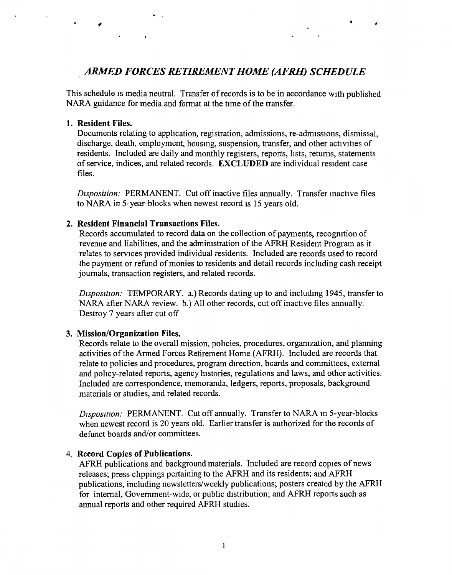## . *ARMED FORCES RETIREMENT HOME (AFRH) SCHEDULE*

This schedule is media neutral. Transfer of records is to be in accordance with published NARA guidance for media and format at the time of the transfer.

#### **1. Resident Files.**

Documents relating to application, registration, admissions, re-admissions, dismissal, discharge, death, employment, housmg, suspension, transfer, and other activities of residents. Included are daily and monthly registers, reports, lists, returns, statements ofservice, indices, and related records. **EXCLUDED** are individual resident case files.

*Disposition:* PERMANENT. Cut off inactive files annually. Transfer mactive files to NARA in 5-year-blocks when newest record is 15 years old.

#### **2. Resident Financial Transactions Files.**

Records accumulated to record data on the collection of payments, recognition of revenue and liabilities, and the admimstration of the AFRH Resident Program as it relates to services provided individual residents. Included are records used to record the payment or refund of monies to residents and detail records including cash receipt journals, transaction registers, and related records.

*Disposition:* TEMPORARY. a.) Records dating up to and including 1945, transfer to NARA after NARA review. b.) All other records, cut off inactive files annually. Destroy 7 years after cut off

#### **3. Mission/Organization Files.**

Records relate to the overall mission, policies, procedures, organization, and planning activities of the Armed Forces Retirement Home (AFRH). Included are records that relate to policies and procedures, program direction, boards and committees, external and policy-related reports, agency histories, regulations and laws, and other activities. Included are correspondence, memoranda, ledgers, reports, proposals, background materials or studies, and related records.

*Disposition:* PERMANENT. Cut off annually. Transfer to NARA in 5-year-blocks when newest record is 20 years old. Earlier transfer is authorized for the records of defunct boards and/or committees.

#### 4. **Record Copies of Publications.**

AFRH publications and background materials. Included are record copies of news releases; press clippings pertaining to the AFRH and its residents; and AFRH publications, including newsletters/weekly publications; posters created by the AFRH for internal, Government-wide, or public distribution; and AFRH reports such as annual reports and other required AFRH studies.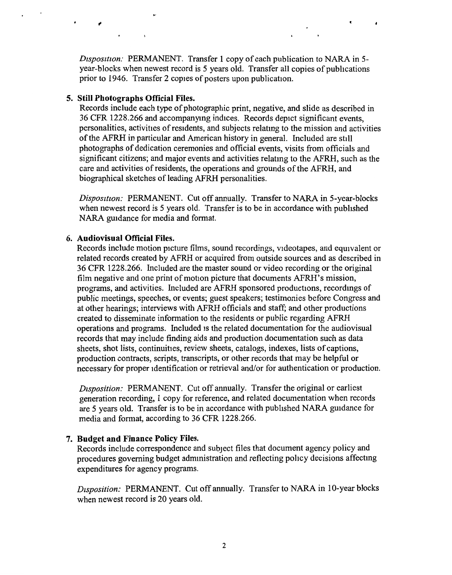*Disposition:* PERMANENT. Transfer 1 copy of each publication to NARA in 5year-blocks when newest record is 5 years old. Transfer all copies of publications prior to 1946. Transfer 2 copies of posters upon publication.

#### **5. Still Photographs Official Files.**

 $\cdot$ 

Records include each type of photographic print, negative, and slide as described in 36 CFR 1228.266 and accompanymg indices. Records depict significant events, personalities, activities ofresidents, and subjects relatmg to the mission and activities of the AFRH in particular and American history in general. Included are still photographs of dedication ceremonies and official events, visits from officials and significant citizens; and major events and activities relatmg to the AFRH, such as the care and activities of residents, the operations and grounds of the AFRH, and biographical sketches of leading AFRH personalities.

*Disposztzon:* PERMANENT. Cut off annually. Transfer to NARA in 5-year-blocks when newest record is 5 years old. Transfer is to be in accordance with published NARA guidance for media and format.

#### **6. Audiovisual Official Files.**

Records include motion picture films, sound recordings, videotapes, and equivalent or related records created by AFRH or acquired from outside sources and as described in 36 CFR 1228.266. Included are the master sound or video recording or the original film negative and one print of motion picture that documents AFRH's mission, programs, and activities. Included are AFRH sponsored productions, recordmgs of public meetings, speeches, or events; guest speakers; testimonies before Congress and at other hearings; interviews with AFRH officials and staff; and other productions created to disseminate information to the residents or public regarding AFRH operations and programs. Included 1s the related documentation for the audiovisual records that may include finding aids and production documentation such as data sheets, shot lists, continuities, review sheets, catalogs, indexes, lists of captions, production contracts, scripts, transcripts, or other records that may be helpful or necessary for proper identification or retrieval and/or for authentication or production.

*Disposition:* PERMANENT. Cut off annually. Transfer the original or earliest generation recording, 1 copy for reference, and related documentation when records are 5 years old. Transfer is to be in accordance with published NARA guidance for media and format, according to 36 CFR 1228.266.

### **7. Budget and Finance Policy Files.**

Records include correspondence and subject files that document agency policy and procedures governing budget admmistration and reflecting pohcy decisions affectmg expenditures for agency programs.

*Disposition:* PERMANENT. Cut off annually. Transfer to NARA in 10-year blocks when newest record is 20 years old.